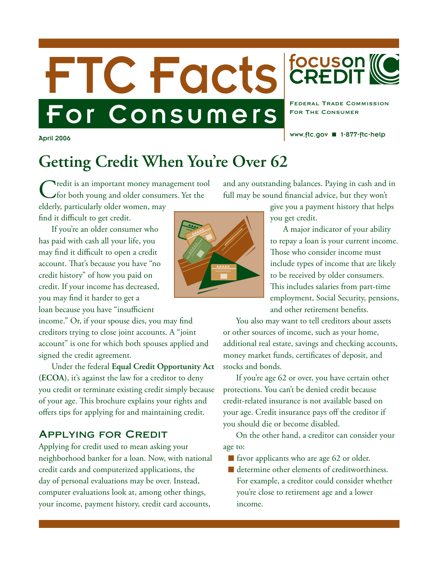# FTC Facts credit For Consumer For The Consumer



For The Consumer

www.ftc.gov ■ 1-877-ftc-help

April 2006

# **Getting Credit When You're Over 62**

**Tredit is an important money management tool** for both young and older consumers. Yet the

elderly, particularly older women, may find it difficult to get credit.

If you're an older consumer who has paid with cash all your life, you may find it difficult to open a credit account. That's because you have "no credit history" of how you paid on credit. If your income has decreased, you may find it harder to get a loan because you have "insufficient

income." Or, if your spouse dies, you may find creditors trying to close joint accounts. A "joint account" is one for which both spouses applied and signed the credit agreement.

Under the federal **Equal Credit Opportunity Act (ECOA)**, it's against the law for a creditor to deny you credit or terminate existing credit simply because of your age. This brochure explains your rights and offers tips for applying for and maintaining credit.

# Applying for Credit

Applying for credit used to mean asking your neighborhood banker for a loan. Now, with national credit cards and computerized applications, the day of personal evaluations may be over. Instead, computer evaluations look at, among other things, your income, payment history, credit card accounts,



and any outstanding balances. Paying in cash and in full may be sound financial advice, but they won't

> give you a payment history that helps you get credit.

A major indicator of your ability to repay a loan is your current income. Those who consider income must include types of income that are likely to be received by older consumers. This includes salaries from part-time employment, Social Security, pensions, and other retirement benefits.

You also may want to tell creditors about assets or other sources of income, such as your home, additional real estate, savings and checking accounts, money market funds, certificates of deposit, and stocks and bonds.

If you're age 62 or over, you have certain other protections. You can't be denied credit because credit-related insurance is not available based on your age. Credit insurance pays off the creditor if you should die or become disabled.

On the other hand, a creditor can consider your age to:

■ favor applicants who are age 62 or older.

determine other elements of creditworthiness. For example, a creditor could consider whether you're close to retirement age and a lower income.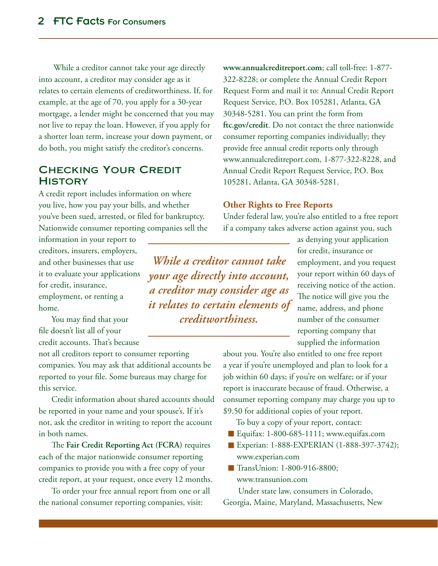While a creditor cannot take your age directly into account, a creditor may consider age as it relates to certain elements of creditworthiness. If, for example, at the age of 70, you apply for a 30-year mortgage, a lender might be concerned that you may not live to repay the loan. However, if you apply for a shorter loan term, increase your down payment, or do both, you might satisfy the creditor's concerns.

#### Checking Your Credit **HISTORY**

A credit report includes information on where you live, how you pay your bills, and whether you've been sued, arrested, or filed for bankruptcy. Nationwide consumer reporting companies sell the

information in your report to creditors, insurers, employers, and other businesses that use it to evaluate your applications for credit, insurance, employment, or renting a home.

You may find that your file doesn't list all of your credit accounts. That's because

not all creditors report to consumer reporting companies. You may ask that additional accounts be reported to your file. Some bureaus may charge for this service.

Credit information about shared accounts should be reported in your name and your spouse's. If it's not, ask the creditor in writing to report the account in both names.

The **Fair Credit Reporting Act (FCRA)** requires each of the major nationwide consumer reporting companies to provide you with a free copy of your credit report, at your request, once every 12 months.

To order your free annual report from one or all the national consumer reporting companies, visit:

**www.annualcreditreport.com**; call toll-free: 1-877- 322-8228; or complete the Annual Credit Report Request Form and mail it to: Annual Credit Report Request Service, P.O. Box 105281, Atlanta, GA 30348-5281. You can print the form from **ftc.gov/credit**. Do not contact the three nationwide consumer reporting companies individually; they provide free annual credit reports only through www.annualcreditreport.com, 1-877-322-8228, and Annual Credit Report Request Service, P.O. Box 105281, Atlanta, GA 30348-5281.

#### **Other Rights to Free Reports**

Under federal law, you're also entitled to a free report if a company takes adverse action against you, such

*While a creditor cannot take your age directly into account, a creditor may consider age as it relates to certain elements of creditworthiness.*

as denying your application for credit, insurance or employment, and you request your report within 60 days of receiving notice of the action. The notice will give you the name, address, and phone number of the consumer reporting company that supplied the information

about you. You're also entitled to one free report a year if you're unemployed and plan to look for a job within 60 days; if you're on welfare; or if your report is inaccurate because of fraud. Otherwise, a consumer reporting company may charge you up to \$9.50 for additional copies of your report.

- To buy a copy of your report, contact:
- Equifax: 1-800-685-1111; www.equifax.com
- Experian: 1-888-EXPERIAN (1-888-397-3742); www.experian.com
- TransUnion: 1-800-916-8800;
- www.transunion.com

Under state law, consumers in Colorado,

Georgia, Maine, Maryland, Massachusetts, New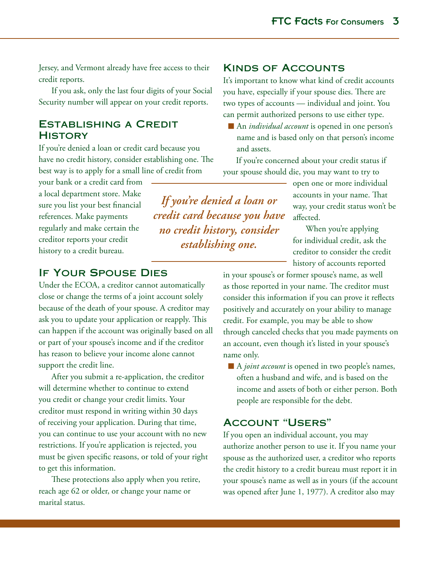Jersey, and Vermont already have free access to their credit reports.

If you ask, only the last four digits of your Social Security number will appear on your credit reports.

## Establishing a Credit **HISTORY**

If you're denied a loan or credit card because you have no credit history, consider establishing one. The best way is to apply for a small line of credit from

your bank or a credit card from a local department store. Make sure you list your best financial references. Make payments regularly and make certain the creditor reports your credit history to a credit bureau.

# If Your Spouse Dies

Under the ECOA, a creditor cannot automatically close or change the terms of a joint account solely because of the death of your spouse. A creditor may ask you to update your application or reapply. This can happen if the account was originally based on all or part of your spouse's income and if the creditor has reason to believe your income alone cannot support the credit line.

After you submit a re-application, the creditor will determine whether to continue to extend you credit or change your credit limits. Your creditor must respond in writing within 30 days of receiving your application. During that time, you can continue to use your account with no new restrictions. If you're application is rejected, you must be given specific reasons, or told of your right to get this information.

These protections also apply when you retire, reach age 62 or older, or change your name or marital status.

Kinds of Accounts

It's important to know what kind of credit accounts you have, especially if your spouse dies. There are two types of accounts — individual and joint. You can permit authorized persons to use either type.

■ An *individual account* is opened in one person's name and is based only on that person's income and assets.

If you're concerned about your credit status if your spouse should die, you may want to try to

> open one or more individual accounts in your name. That way, your credit status won't be affected.

When you're applying for individual credit, ask the creditor to consider the credit history of accounts reported

in your spouse's or former spouse's name, as well as those reported in your name. The creditor must consider this information if you can prove it reflects positively and accurately on your ability to manage credit. For example, you may be able to show through canceled checks that you made payments on an account, even though it's listed in your spouse's name only.

■ A *joint account* is opened in two people's names, often a husband and wife, and is based on the income and assets of both or either person. Both people are responsible for the debt.

# Account "Users"

If you open an individual account, you may authorize another person to use it. If you name your spouse as the authorized user, a creditor who reports the credit history to a credit bureau must report it in your spouse's name as well as in yours (if the account was opened after June 1, 1977). A creditor also may

*If you're denied a loan or credit card because you have no credit history, consider establishing one.*